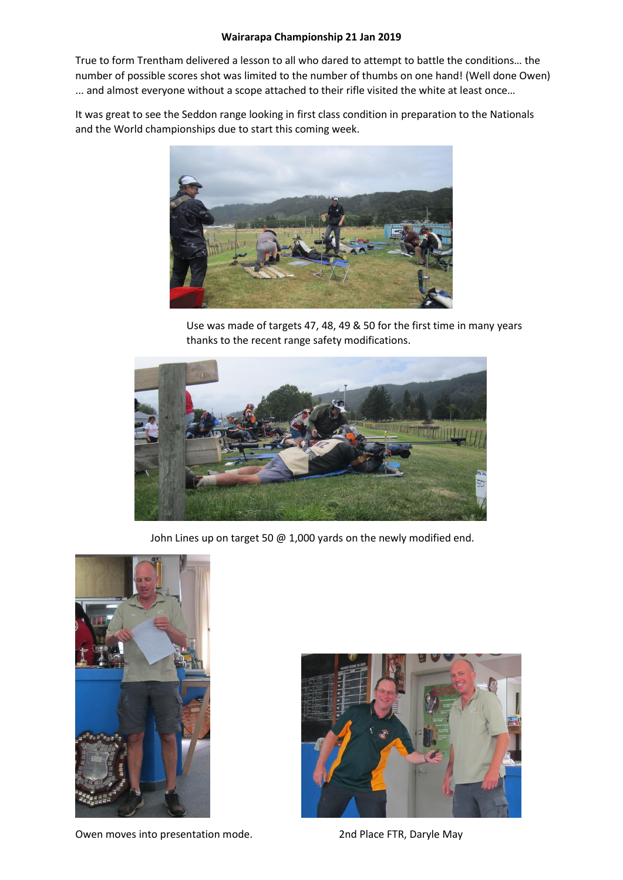## **Wairarapa Championship 21 Jan 2019**

True to form Trentham delivered a lesson to all who dared to attempt to battle the conditions… the number of possible scores shot was limited to the number of thumbs on one hand! (Well done Owen) ... and almost everyone without a scope attached to their rifle visited the white at least once…

It was great to see the Seddon range looking in first class condition in preparation to the Nationals and the World championships due to start this coming week.



Use was made of targets 47, 48, 49 & 50 for the first time in many years thanks to the recent range safety modifications.



John Lines up on target 50 @ 1,000 yards on the newly modified end.





Owen moves into presentation mode. 2nd Place FTR, Daryle May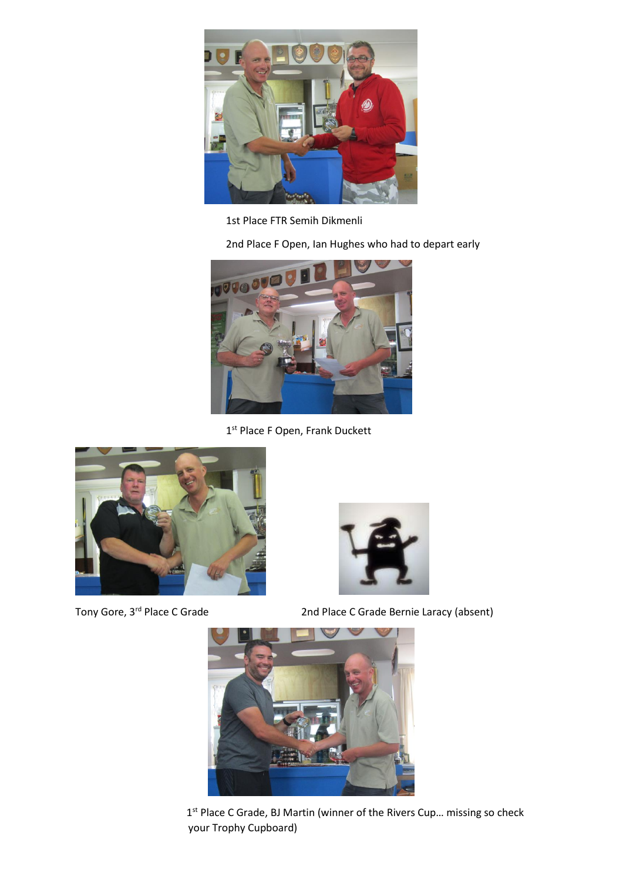

1st Place FTR Semih Dikmenli

2nd Place F Open, Ian Hughes who had to depart early



1st Place F Open, Frank Duckett





Tony Gore, 3rd Place C Grade 2nd Place C Grade Bernie Laracy (absent)



1<sup>st</sup> Place C Grade, BJ Martin (winner of the Rivers Cup... missing so check your Trophy Cupboard)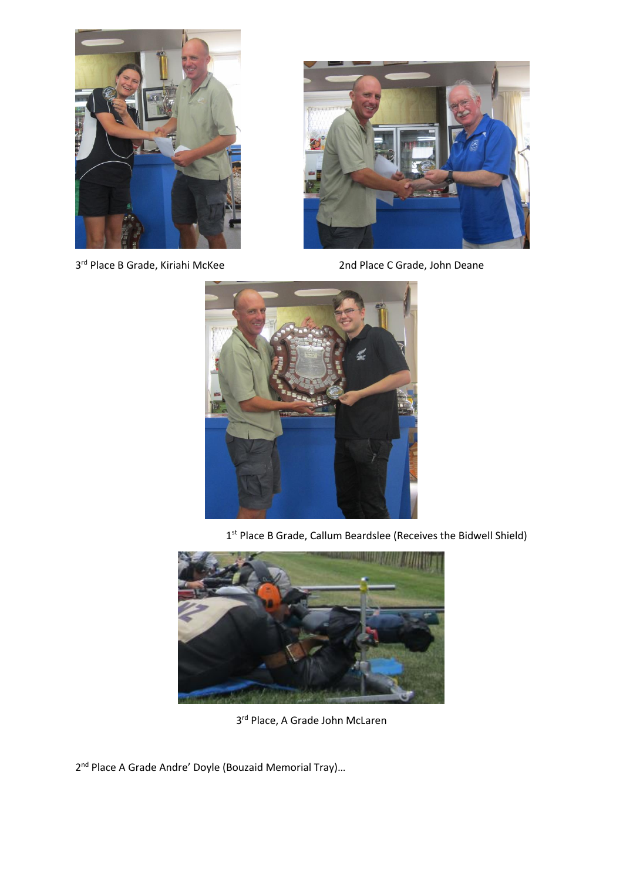

3rd Place B Grade, Kiriahi McKee



2nd Place C Grade, John Deane



1<sup>st</sup> Place B Grade, Callum Beardslee (Receives the Bidwell Shield)



3 rd Place, A Grade John McLaren

2<sup>nd</sup> Place A Grade Andre' Doyle (Bouzaid Memorial Tray)...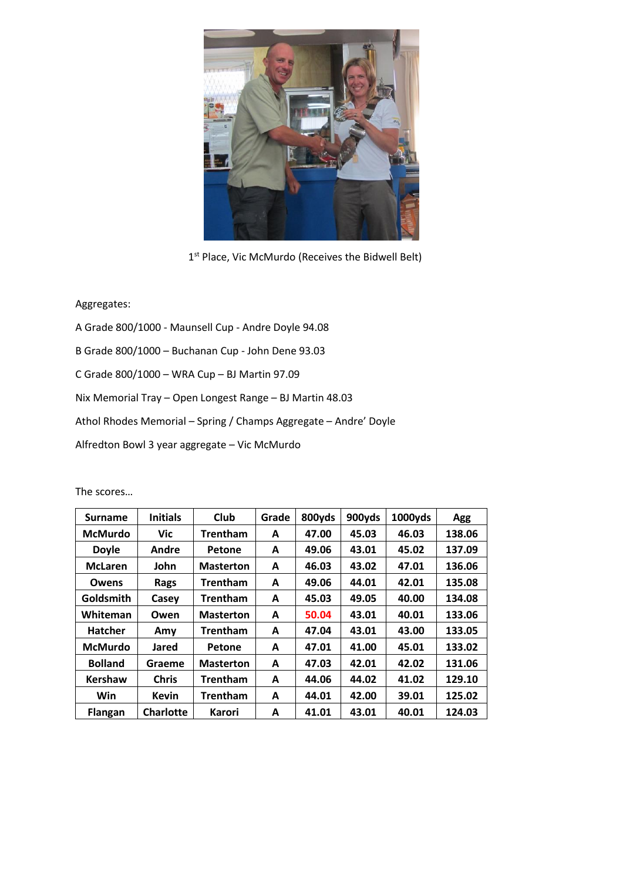

1<sup>st</sup> Place, Vic McMurdo (Receives the Bidwell Belt)

## Aggregates:

A Grade 800/1000 - Maunsell Cup - Andre Doyle 94.08 B Grade 800/1000 – Buchanan Cup - John Dene 93.03 C Grade 800/1000 – WRA Cup – BJ Martin 97.09 Nix Memorial Tray – Open Longest Range – BJ Martin 48.03 Athol Rhodes Memorial – Spring / Champs Aggregate – Andre' Doyle Alfredton Bowl 3 year aggregate – Vic McMurdo

| <b>Surname</b>   | <b>Initials</b>  | Club             | Grade | 800yds | 900yds | 1000yds | Agg    |
|------------------|------------------|------------------|-------|--------|--------|---------|--------|
| <b>McMurdo</b>   | Vic              | <b>Trentham</b>  | A     | 47.00  | 45.03  | 46.03   | 138.06 |
| <b>Doyle</b>     | Andre            | Petone           | A     | 49.06  | 43.01  | 45.02   | 137.09 |
| <b>McLaren</b>   | John             | <b>Masterton</b> | A     | 46.03  | 43.02  | 47.01   | 136.06 |
| Owens            | Rags             | Trentham         | A     | 49.06  | 44.01  | 42.01   | 135.08 |
| <b>Goldsmith</b> | Casey            | <b>Trentham</b>  | A     | 45.03  | 49.05  | 40.00   | 134.08 |
| Whiteman         | Owen             | <b>Masterton</b> | A     | 50.04  | 43.01  | 40.01   | 133.06 |
| <b>Hatcher</b>   | Amy              | <b>Trentham</b>  | A     | 47.04  | 43.01  | 43.00   | 133.05 |
| <b>McMurdo</b>   | Jared            | Petone           | A     | 47.01  | 41.00  | 45.01   | 133.02 |
| <b>Bolland</b>   | Graeme           | <b>Masterton</b> | A     | 47.03  | 42.01  | 42.02   | 131.06 |
| <b>Kershaw</b>   | <b>Chris</b>     | <b>Trentham</b>  | A     | 44.06  | 44.02  | 41.02   | 129.10 |
| Win              | <b>Kevin</b>     | <b>Trentham</b>  | A     | 44.01  | 42.00  | 39.01   | 125.02 |
| <b>Flangan</b>   | <b>Charlotte</b> | Karori           | A     | 41.01  | 43.01  | 40.01   | 124.03 |

The scores…